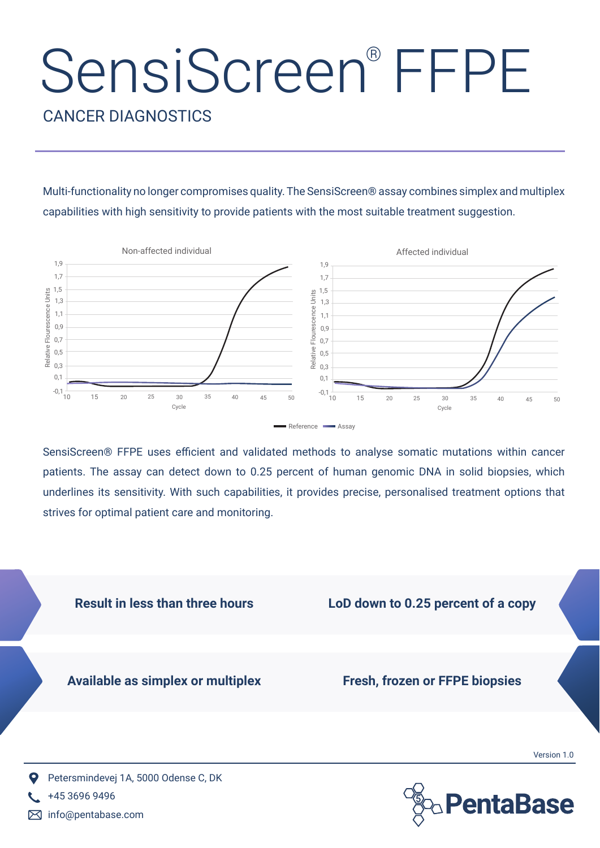## SensiScreen® FFPE

CANCER DIAGNOSTICS

Multi-functionality no longer compromises quality. The SensiScreen® assay combines simplex and multiplex capabilities with high sensitivity to provide patients with the most suitable treatment suggestion.



SensiScreen® FFPE uses efficient and validated methods to analyse somatic mutations within cancer patients. The assay can detect down to 0.25 percent of human genomic DNA in solid biopsies, which underlines its sensitivity. With such capabilities, it provides precise, personalised treatment options that strives for optimal patient care and monitoring.





info@pentabase.com

+45 3696 9496